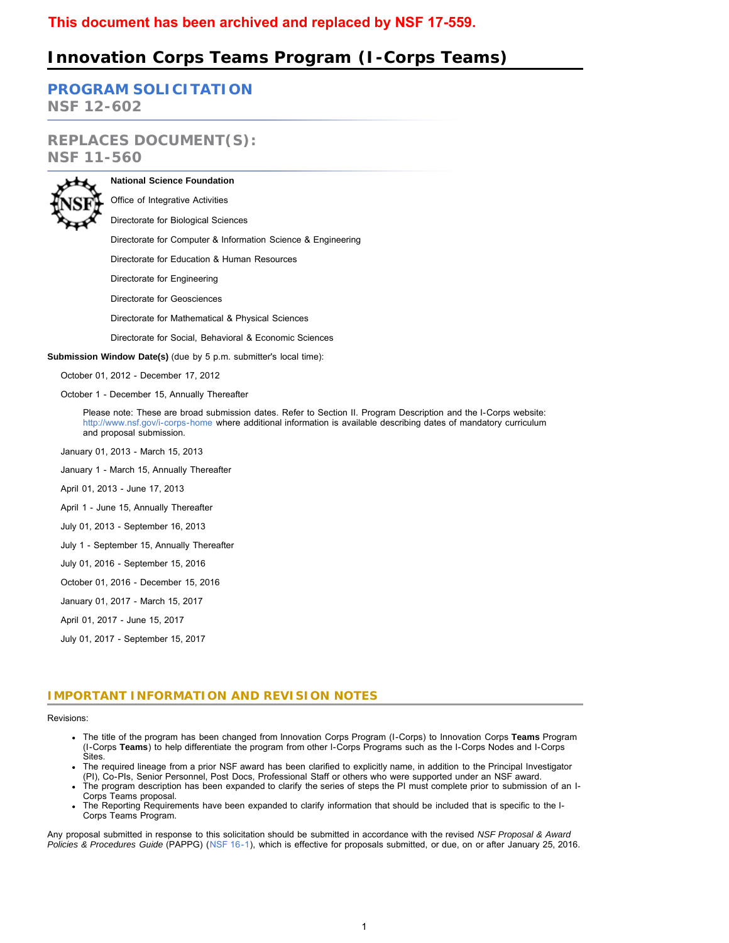# **Innovation Corps Teams Program (I-Corps Teams)**

**[PROGRAM SOLICITATION](#page-3-0)**

**NSF 12-602**

# **REPLACES DOCUMENT(S): NSF 11-560**



**National Science Foundation** Office of Integrative Activities

Directorate for Biological Sciences

Directorate for Computer & Information Science & Engineering

Directorate for Education & Human Resources

Directorate for Engineering

Directorate for Geosciences

Directorate for Mathematical & Physical Sciences

Directorate for Social, Behavioral & Economic Sciences

**Submission Window Date(s)** (due by 5 p.m. submitter's local time):

October 01, 2012 - December 17, 2012

October 1 - December 15, Annually Thereafter

Please note: These are broad submission dates. Refer to Section II. Program Description and the I-Corps website: <http://www.nsf.gov/i-corps-home>where additional information is available describing dates of mandatory curriculum and proposal submission.

January 01, 2013 - March 15, 2013

January 1 - March 15, Annually Thereafter

April 01, 2013 - June 17, 2013

April 1 - June 15, Annually Thereafter

July 01, 2013 - September 16, 2013

July 1 - September 15, Annually Thereafter

July 01, 2016 - September 15, 2016

October 01, 2016 - December 15, 2016

January 01, 2017 - March 15, 2017

April 01, 2017 - June 15, 2017

July 01, 2017 - September 15, 2017

# **IMPORTANT INFORMATION AND REVISION NOTES**

Revisions:

- The title of the program has been changed from Innovation Corps Program (I-Corps) to Innovation Corps **Teams** Program (I-Corps **Teams**) to help differentiate the program from other I-Corps Programs such as the I-Corps Nodes and I-Corps Sites.
- The required lineage from a prior NSF award has been clarified to explicitly name, in addition to the Principal Investigator (PI), Co-PIs, Senior Personnel, Post Docs, Professional Staff or others who were supported under an NSF award.
- The program description has been expanded to clarify the series of steps the PI must complete prior to submission of an I-Corps Teams proposal.
- The Reporting Requirements have been expanded to clarify information that should be included that is specific to the I-Corps Teams Program.

<span id="page-0-0"></span>Any proposal submitted in response to this solicitation should be submitted in accordance with the revised *NSF Proposal & Award Policies & Procedures Guide* (PAPPG) ([NSF 16-1](http://www.nsf.gov/publications/pub_summ.jsp?ods_key=nsf16001)), which is effective for proposals submitted, or due, on or after January 25, 2016.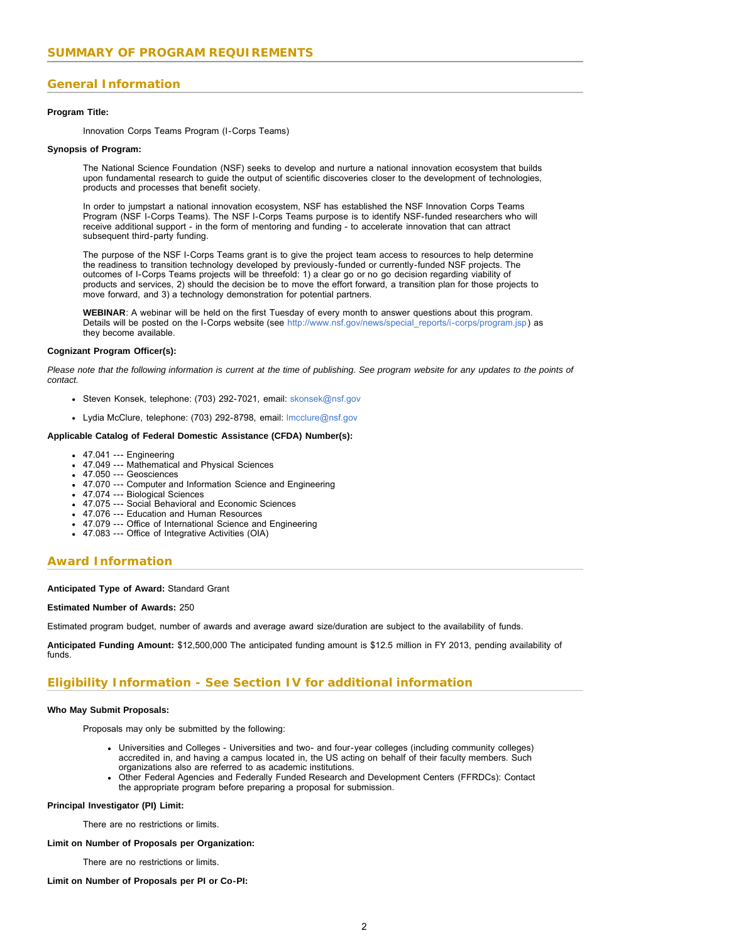# **General Information**

#### **Program Title:**

Innovation Corps Teams Program (I-Corps Teams)

#### **Synopsis of Program:**

The National Science Foundation (NSF) seeks to develop and nurture a national innovation ecosystem that builds upon fundamental research to guide the output of scientific discoveries closer to the development of technologies, products and processes that benefit society.

In order to jumpstart a national innovation ecosystem, NSF has established the NSF Innovation Corps Teams Program (NSF I-Corps Teams). The NSF I-Corps Teams purpose is to identify NSF-funded researchers who will receive additional support - in the form of mentoring and funding - to accelerate innovation that can attract subsequent third-party funding.

The purpose of the NSF I-Corps Teams grant is to give the project team access to resources to help determine the readiness to transition technology developed by previously-funded or currently-funded NSF projects. The outcomes of I-Corps Teams projects will be threefold: 1) a clear go or no go decision regarding viability of products and services, 2) should the decision be to move the effort forward, a transition plan for those projects to move forward, and 3) a technology demonstration for potential partners.

**WEBINAR**: A webinar will be held on the first Tuesday of every month to answer questions about this program. Details will be posted on the I-Corps website (see [http://www.nsf.gov/news/special\\_reports/i-corps/program.jsp\)](http://www.nsf.gov/news/special_reports/i-corps/program.jsp) as they become available.

#### **Cognizant Program Officer(s):**

*Please note that the following information is current at the time of publishing. See program website for any updates to the points of contact.*

- Steven Konsek, telephone: (703) 292-7021, email: [skonsek@nsf.gov](mailto:skonsek@nsf.gov)
- Lydia McClure, telephone: (703) 292-8798, email: [lmcclure@nsf.gov](mailto:lmcclure@nsf.gov)

#### **Applicable Catalog of Federal Domestic Assistance (CFDA) Number(s):**

- 47.041 --- Engineering
- 47.049 --- Mathematical and Physical Sciences
- 47.050 --- Geosciences
- 47.070 --- Computer and Information Science and Engineering
- 47.074 --- Biological Sciences
- 47.075 --- Social Behavioral and Economic Sciences
- 47.076 --- Education and Human Resources
- 47.079 --- Office of International Science and Engineering
- 47.083 --- Office of Integrative Activities (OIA)

### **Award Information**

#### **Anticipated Type of Award:** Standard Grant

#### **Estimated Number of Awards:** 250

Estimated program budget, number of awards and average award size/duration are subject to the availability of funds.

**Anticipated Funding Amount:** \$12,500,000 The anticipated funding amount is \$12.5 million in FY 2013, pending availability of funds.

# **Eligibility Information - See Section IV for additional information**

#### **Who May Submit Proposals:**

Proposals may only be submitted by the following:

- Universities and Colleges Universities and two- and four-year colleges (including community colleges) accredited in, and having a campus located in, the US acting on behalf of their faculty members. Such organizations also are referred to as academic institutions.
- Other Federal Agencies and Federally Funded Research and Development Centers (FFRDCs): Contact the appropriate program before preparing a proposal for submission.

### **Principal Investigator (PI) Limit:**

There are no restrictions or limits.

#### **Limit on Number of Proposals per Organization:**

There are no restrictions or limits.

#### **Limit on Number of Proposals per PI or Co-PI:**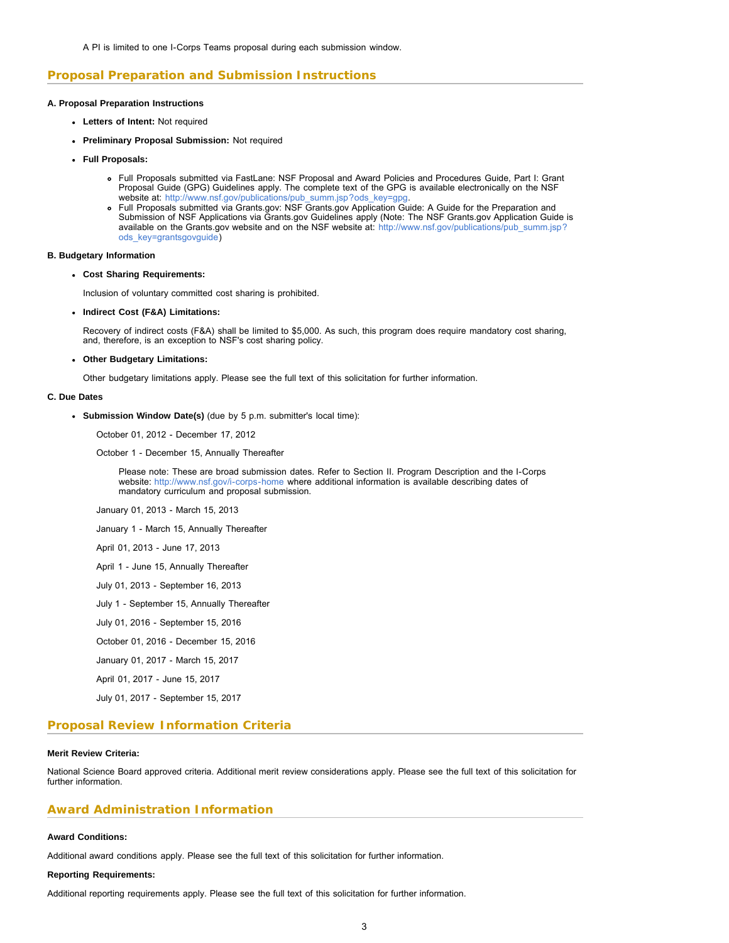# **Proposal Preparation and Submission Instructions**

#### **A. Proposal Preparation Instructions**

- **Letters of Intent:** Not required
- **Preliminary Proposal Submission:** Not required
- **Full Proposals:**
	- Full Proposals submitted via FastLane: NSF Proposal and Award Policies and Procedures Guide, Part I: Grant Proposal Guide (GPG) Guidelines apply. The complete text of the GPG is available electronically on the NSF website at: [http://www.nsf.gov/publications/pub\\_summ.jsp?ods\\_key=gpg.](http://www.nsf.gov/publications/pub_summ.jsp?ods_key=gpg)
	- Full Proposals submitted via Grants.gov: NSF Grants.gov Application Guide: A Guide for the Preparation and Submission of NSF Applications via Grants.gov Guidelines apply (Note: The NSF Grants.gov Application Guide is available on the Grants.gov website and on the NSF website at: [http://www.nsf.gov/publications/pub\\_summ.jsp?](http://www.nsf.gov/publications/pub_summ.jsp?ods_key=grantsgovguide) [ods\\_key=grantsgovguide\)](http://www.nsf.gov/publications/pub_summ.jsp?ods_key=grantsgovguide)

#### **B. Budgetary Information**

#### **Cost Sharing Requirements:**

Inclusion of voluntary committed cost sharing is prohibited.

**Indirect Cost (F&A) Limitations:**

Recovery of indirect costs (F&A) shall be limited to \$5,000. As such, this program does require mandatory cost sharing, and, therefore, is an exception to NSF's cost sharing policy.

#### **Other Budgetary Limitations:**

Other budgetary limitations apply. Please see the full text of this solicitation for further information.

#### **C. Due Dates**

**Submission Window Date(s)** (due by 5 p.m. submitter's local time):

October 01, 2012 - December 17, 2012

October 1 - December 15, Annually Thereafter

Please note: These are broad submission dates. Refer to Section II. Program Description and the I-Corps website: <http://www.nsf.gov/i-corps-home>where additional information is available describing dates of mandatory curriculum and proposal submission.

January 01, 2013 - March 15, 2013

January 1 - March 15, Annually Thereafter

- April 01, 2013 June 17, 2013
- April 1 June 15, Annually Thereafter
- July 01, 2013 September 16, 2013
- July 1 September 15, Annually Thereafter
- July 01, 2016 September 15, 2016
- October 01, 2016 December 15, 2016
- January 01, 2017 March 15, 2017
- April 01, 2017 June 15, 2017

July 01, 2017 - September 15, 2017

### **Proposal Review Information Criteria**

#### **Merit Review Criteria:**

National Science Board approved criteria. Additional merit review considerations apply. Please see the full text of this solicitation for further information.

### **Award Administration Information**

#### **Award Conditions:**

Additional award conditions apply. Please see the full text of this solicitation for further information.

#### **Reporting Requirements:**

Additional reporting requirements apply. Please see the full text of this solicitation for further information.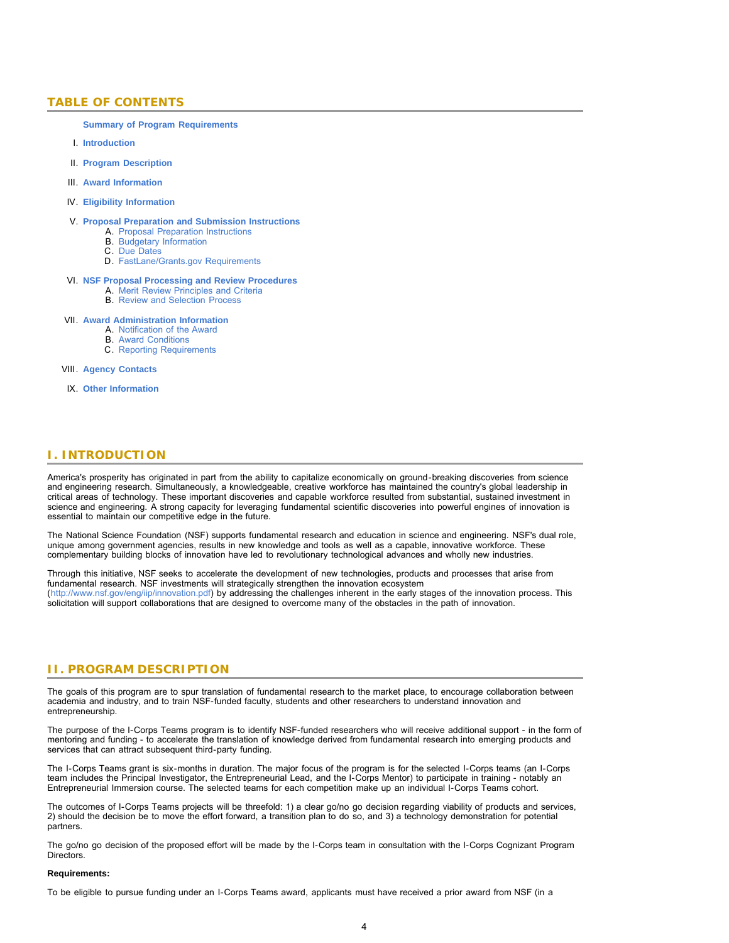# <span id="page-3-0"></span>**TABLE OF CONTENTS**

**[Summary of Program Requirements](#page-0-0)**

- I. **[Introduction](#page-3-1)**
- II. **[Program Description](#page-3-2)**
- III. **[Award Information](#page-5-0)**
- IV. **[Eligibility Information](#page-5-1)**
- V. **[Proposal Preparation and Submission Instructions](#page-6-0)**
	- A. [Proposal Preparation Instructions](#page-6-0)
	- B. [Budgetary Information](#page-8-0)
	- C. [Due Dates](#page-8-1)
	- D. [FastLane/Grants.gov Requirements](#page-9-0)

#### VI. **[NSF Proposal Processing and Review Procedures](#page-9-1)**

- A. [Merit Review Principles and Criteria](#page-9-2)
- B. [Review and Selection Process](#page-10-0)

#### VII. **[Award Administration Information](#page-11-0)**

- A. [Notification of the Award](#page-11-1)
- B. [Award Conditions](#page-11-2)
- C. [Reporting Requirements](#page-11-3)

#### VIII. **[Agency Contacts](#page-12-0)**

IX. **[Other Information](#page-12-1)**

# <span id="page-3-1"></span>**I. INTRODUCTION**

America's prosperity has originated in part from the ability to capitalize economically on ground-breaking discoveries from science and engineering research. Simultaneously, a knowledgeable, creative workforce has maintained the country's global leadership in critical areas of technology. These important discoveries and capable workforce resulted from substantial, sustained investment in science and engineering. A strong capacity for leveraging fundamental scientific discoveries into powerful engines of innovation is essential to maintain our competitive edge in the future.

The National Science Foundation (NSF) supports fundamental research and education in science and engineering. NSF's dual role, unique among government agencies, results in new knowledge and tools as well as a capable, innovative workforce. These complementary building blocks of innovation have led to revolutionary technological advances and wholly new industries.

Through this initiative, NSF seeks to accelerate the development of new technologies, products and processes that arise from fundamental research. NSF investments will strategically strengthen the innovation ecosystem (<http://www.nsf.gov/eng/iip/innovation.pdf>) by addressing the challenges inherent in the early stages of the innovation process. This solicitation will support collaborations that are designed to overcome many of the obstacles in the path of innovation.

### <span id="page-3-2"></span>**II. PROGRAM DESCRIPTION**

The goals of this program are to spur translation of fundamental research to the market place, to encourage collaboration between academia and industry, and to train NSF-funded faculty, students and other researchers to understand innovation and entrepreneurship.

The purpose of the I-Corps Teams program is to identify NSF-funded researchers who will receive additional support - in the form of mentoring and funding - to accelerate the translation of knowledge derived from fundamental research into emerging products and services that can attract subsequent third-party funding.

The I-Corps Teams grant is six-months in duration. The major focus of the program is for the selected I-Corps teams (an I-Corps team includes the Principal Investigator, the Entrepreneurial Lead, and the I-Corps Mentor) to participate in training - notably an Entrepreneurial Immersion course. The selected teams for each competition make up an individual I-Corps Teams cohort.

The outcomes of I-Corps Teams projects will be threefold: 1) a clear go/no go decision regarding viability of products and services, 2) should the decision be to move the effort forward, a transition plan to do so, and 3) a technology demonstration for potential partners.

The go/no go decision of the proposed effort will be made by the I-Corps team in consultation with the I-Corps Cognizant Program **Directors** 

#### **Requirements:**

To be eligible to pursue funding under an I-Corps Teams award, applicants must have received a prior award from NSF (in a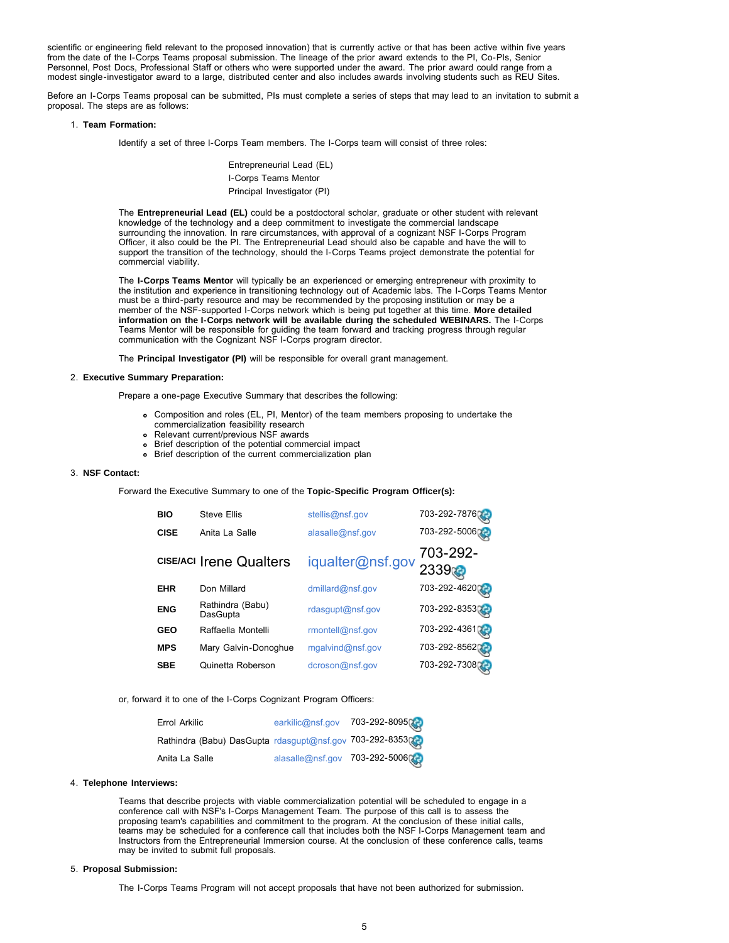scientific or engineering field relevant to the proposed innovation) that is currently active or that has been active within five years from the date of the I-Corps Teams proposal submission. The lineage of the prior award extends to the PI, Co-PIs, Senior Personnel, Post Docs, Professional Staff or others who were supported under the award. The prior award could range from a modest single-investigator award to a large, distributed center and also includes awards involving students such as REU Sites.

Before an I-Corps Teams proposal can be submitted, PIs must complete a series of steps that may lead to an invitation to submit a proposal. The steps are as follows:

#### 1. **Team Formation:**

Identify a set of three I-Corps Team members. The I-Corps team will consist of three roles:

Entrepreneurial Lead (EL) I-Corps Teams Mentor Principal Investigator (PI)

The **Entrepreneurial Lead (EL)** could be a postdoctoral scholar, graduate or other student with relevant knowledge of the technology and a deep commitment to investigate the commercial landscape surrounding the innovation. In rare circumstances, with approval of a cognizant NSF I-Corps Program Officer, it also could be the PI. The Entrepreneurial Lead should also be capable and have the will to support the transition of the technology, should the I-Corps Teams project demonstrate the potential for commercial viability.

The **I-Corps Teams Mentor** will typically be an experienced or emerging entrepreneur with proximity to the institution and experience in transitioning technology out of Academic labs. The I-Corps Teams Mentor must be a third-party resource and may be recommended by the proposing institution or may be a member of the NSF-supported I-Corps network which is being put together at this time. **More detailed information on the I-Corps network will be available during the scheduled WEBINARS.** The I-Corps Teams Mentor will be responsible for guiding the team forward and tracking progress through regular communication with the Cognizant NSF I-Corps program director.

The **Principal Investigator (PI)** will be responsible for overall grant management.

#### 2. **Executive Summary Preparation:**

Prepare a one-page Executive Summary that describes the following:

- Composition and roles (EL, PI, Mentor) of the team members proposing to undertake the commercialization feasibility research
- Relevant current/previous NSF awards
- Brief description of the potential commercial impact
- Brief description of the current commercialization plan

#### 3. **NSF Contact:**

Forward the Executive Summary to one of the **Topic-Specific Program Officer(s):**

| <b>BIO</b>  | <b>Steve Ellis</b>             | stellis@nsf.gov  | 703-292-7876     |
|-------------|--------------------------------|------------------|------------------|
| <b>CISE</b> | Anita La Salle                 | alasalle@nsf.gov | 703-292-5006     |
|             | <b>CISE/ACI Irene Qualters</b> | iqualter@nsf.gov | 703-292-<br>2339 |
| <b>EHR</b>  | Don Millard                    | dmillard@nsf.gov | 703-292-46200    |
| <b>ENG</b>  | Rathindra (Babu)<br>DasGupta   | rdasgupt@nsf.gov | 703-292-835302   |
| <b>GEO</b>  | Raffaella Montelli             | rmontell@nsf.gov | 703-292-436102   |
| <b>MPS</b>  | Mary Galvin-Donoghue           | mgalvind@nsf.gov | 703-292-8562     |
| <b>SBE</b>  | Quinetta Roberson              | dcroson@nsf.gov  | 703-292-730806   |

or, forward it to one of the I-Corps Cognizant Program Officers:

| Errol Arkilic                                            | earkilic@nsf.gov 703-292-8095 |  |
|----------------------------------------------------------|-------------------------------|--|
| Rathindra (Babu) DasGupta rdasgupt@nsf.gov 703-292-8353( |                               |  |
| Anita La Salle                                           | alasalle@nsf.gov 703-292-5006 |  |

#### 4. **Telephone Interviews:**

Teams that describe projects with viable commercialization potential will be scheduled to engage in a conference call with NSF's I-Corps Management Team. The purpose of this call is to assess the proposing team's capabilities and commitment to the program. At the conclusion of these initial calls, teams may be scheduled for a conference call that includes both the NSF I-Corps Management team and Instructors from the Entrepreneurial Immersion course. At the conclusion of these conference calls, teams may be invited to submit full proposals.

#### 5. **Proposal Submission:**

The I-Corps Teams Program will not accept proposals that have not been authorized for submission.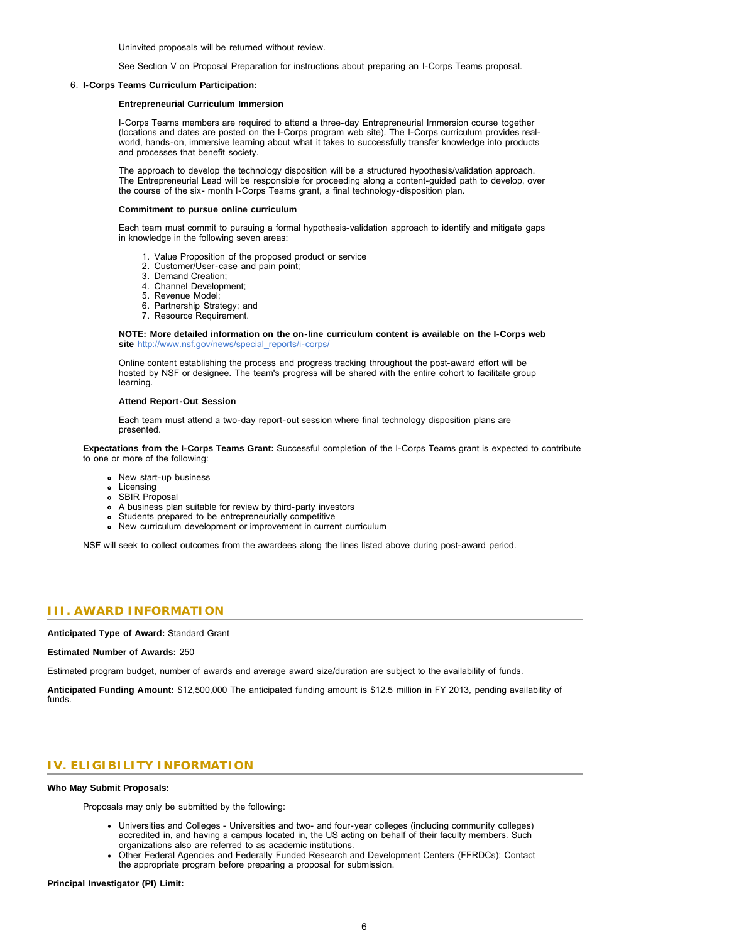Uninvited proposals will be returned without review.

See Section V on Proposal Preparation for instructions about preparing an I-Corps Teams proposal.

#### 6. **I-Corps Teams Curriculum Participation:**

#### **Entrepreneurial Curriculum Immersion**

I-Corps Teams members are required to attend a three-day Entrepreneurial Immersion course together (locations and dates are posted on the I-Corps program web site). The I-Corps curriculum provides realworld, hands-on, immersive learning about what it takes to successfully transfer knowledge into products and processes that benefit society.

The approach to develop the technology disposition will be a structured hypothesis/validation approach. The Entrepreneurial Lead will be responsible for proceeding along a content-guided path to develop, over the course of the six- month I-Corps Teams grant, a final technology-disposition plan.

#### **Commitment to pursue online curriculum**

Each team must commit to pursuing a formal hypothesis-validation approach to identify and mitigate gaps in knowledge in the following seven areas:

- 1. Value Proposition of the proposed product or service
- 2. Customer/User-case and pain point;
- 3. Demand Creation;
- 4. Channel Development;
- 5. Revenue Model;
- 6. Partnership Strategy; and
- 7. Resource Requirement.

**NOTE: More detailed information on the on-line curriculum content is available on the I-Corps web** site http://www.nsf.gov/news/special\_reports/i-corps

Online content establishing the process and progress tracking throughout the post-award effort will be hosted by NSF or designee. The team's progress will be shared with the entire cohort to facilitate group learning.

#### **Attend Report-Out Session**

Each team must attend a two-day report-out session where final technology disposition plans are presented.

**Expectations from the I-Corps Teams Grant:** Successful completion of the I-Corps Teams grant is expected to contribute to one or more of the following:

- New start-up business
- **•** Licensing
- SBIR Proposal
- A business plan suitable for review by third-party investors
- Students prepared to be entrepreneurially competitive
- New curriculum development or improvement in current curriculum

NSF will seek to collect outcomes from the awardees along the lines listed above during post-award period.

# <span id="page-5-0"></span>**III. AWARD INFORMATION**

**Anticipated Type of Award:** Standard Grant

#### **Estimated Number of Awards:** 250

Estimated program budget, number of awards and average award size/duration are subject to the availability of funds.

<span id="page-5-1"></span>**Anticipated Funding Amount:** \$12,500,000 The anticipated funding amount is \$12.5 million in FY 2013, pending availability of funds.

# **IV. ELIGIBILITY INFORMATION**

#### **Who May Submit Proposals:**

Proposals may only be submitted by the following:

- Universities and Colleges Universities and two- and four-year colleges (including community colleges) accredited in, and having a campus located in, the US acting on behalf of their faculty members. Such organizations also are referred to as academic institutions.
- Other Federal Agencies and Federally Funded Research and Development Centers (FFRDCs): Contact the appropriate program before preparing a proposal for submission.

**Principal Investigator (PI) Limit:**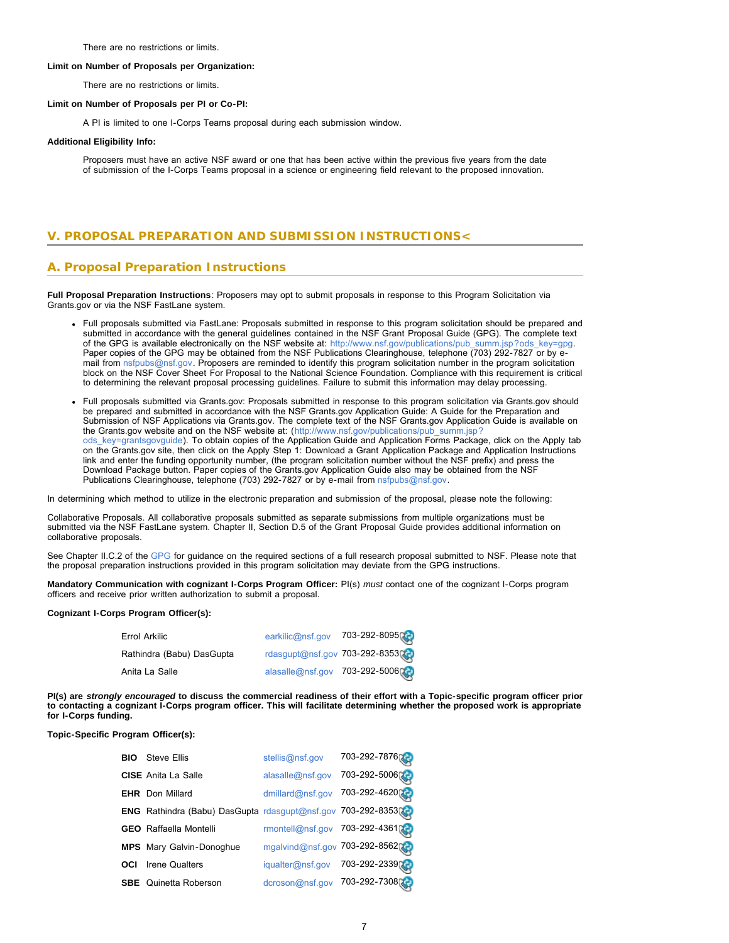There are no restrictions or limits.

#### **Limit on Number of Proposals per Organization:**

There are no restrictions or limits.

#### **Limit on Number of Proposals per PI or Co-PI:**

A PI is limited to one I-Corps Teams proposal during each submission window.

#### **Additional Eligibility Info:**

Proposers must have an active NSF award or one that has been active within the previous five years from the date of submission of the I-Corps Teams proposal in a science or engineering field relevant to the proposed innovation.

# <span id="page-6-0"></span>**V. PROPOSAL PREPARATION AND SUBMISSION INSTRUCTIONS<**

# **A. Proposal Preparation Instructions**

**Full Proposal Preparation Instructions**: Proposers may opt to submit proposals in response to this Program Solicitation via Grants.gov or via the NSF FastLane system.

- Full proposals submitted via FastLane: Proposals submitted in response to this program solicitation should be prepared and submitted in accordance with the general guidelines contained in the NSF Grant Proposal Guide (GPG). The complete text of the GPG is available electronically on the NSF website at: [http://www.nsf.gov/publications/pub\\_summ.jsp?ods\\_key=gpg.](http://www.nsf.gov/publications/pub_summ.jsp?ods_key=gpg) Paper copies of the GPG may be obtained from the NSF Publications Clearinghouse, telephone (703) 292-7827 or by email from [nsfpubs@nsf.gov.](mailto:nsfpubs@nsf.gov) Proposers are reminded to identify this program solicitation number in the program solicitation block on the NSF Cover Sheet For Proposal to the National Science Foundation. Compliance with this requirement is critical to determining the relevant proposal processing guidelines. Failure to submit this information may delay processing.
- Full proposals submitted via Grants.gov: Proposals submitted in response to this program solicitation via Grants.gov should be prepared and submitted in accordance with the NSF Grants.gov Application Guide: A Guide for the Preparation and Submission of NSF Applications via Grants.gov. The complete text of the NSF Grants.gov Application Guide is available on the Grants.gov website and on the NSF website at: ([http://www.nsf.gov/publications/pub\\_summ.jsp?](http://www.nsf.gov/publications/pub_summ.jsp?ods_key=grantsgovguide) [ods\\_key=grantsgovguide\)](http://www.nsf.gov/publications/pub_summ.jsp?ods_key=grantsgovguide). To obtain copies of the Application Guide and Application Forms Package, click on the Apply tab on the Grants.gov site, then click on the Apply Step 1: Download a Grant Application Package and Application Instructions link and enter the funding opportunity number, (the program solicitation number without the NSF prefix) and press the Download Package button. Paper copies of the Grants.gov Application Guide also may be obtained from the NSF Publications Clearinghouse, telephone (703) 292-7827 or by e-mail from [nsfpubs@nsf.gov.](mailto:nsfpubs@nsf.gov)

In determining which method to utilize in the electronic preparation and submission of the proposal, please note the following:

Collaborative Proposals. All collaborative proposals submitted as separate submissions from multiple organizations must be submitted via the NSF FastLane system. Chapter II, Section D.5 of the Grant Proposal Guide provides additional information on collaborative proposals.

See Chapter II.C.2 of the [GPG](http://www.nsf.gov/publications/pub_summ.jsp?ods_key=gpg) for guidance on the required sections of a full research proposal submitted to NSF. Please note that the proposal preparation instructions provided in this program solicitation may deviate from the GPG instructions.

**Mandatory Communication with cognizant I-Corps Program Officer:** PI(s) *must* contact one of the cognizant I-Corps program officers and receive prior written authorization to submit a proposal.

#### **Cognizant I-Corps Program Officer(s):**

| Errol Arkilic             |                               | earkilic@nsf.gov 703-292-8095  |
|---------------------------|-------------------------------|--------------------------------|
| Rathindra (Babu) DasGupta |                               | rdasgupt@nsf.gov 703-292-8353( |
| Anita La Salle            | alasalle@nsf.gov 703-292-5006 |                                |

**PI(s) are** *strongly encouraged* **to discuss the commercial readiness of their effort with a Topic-specific program officer prior to contacting a cognizant I-Corps program officer. This will facilitate determining whether the proposed work is appropriate for I-Corps funding.**

#### **Topic-Specific Program Officer(s):**

| <b>BIO</b> | <b>Steve Ellis</b>                                           | stellis@nsf.gov                 | 703-292-7876  |
|------------|--------------------------------------------------------------|---------------------------------|---------------|
|            | <b>CISE</b> Anita La Salle                                   | alasalle@nsf.gov                | 703-292-5006  |
|            | <b>EHR</b> Don Millard                                       | dmillard@nsf.gov                | 703-292-46200 |
|            | ENG Rathindra (Babu) DasGupta rdasgupt@nsf.gov 703-292-83530 |                                 |               |
|            | <b>GEO</b> Raffaella Montelli                                | rmontell@nsf.gov 703-292-436102 |               |
|            | <b>MPS</b> Mary Galvin-Donoghue                              | mgalvind@nsf.gov 703-292-856202 |               |
| OCI        | <b>Irene Qualters</b>                                        | iqualter@nsf.gov                | 703-292-2339  |
|            | <b>SBE</b> Quinetta Roberson                                 | dcroson@nsf.gov                 | 703-292-7308  |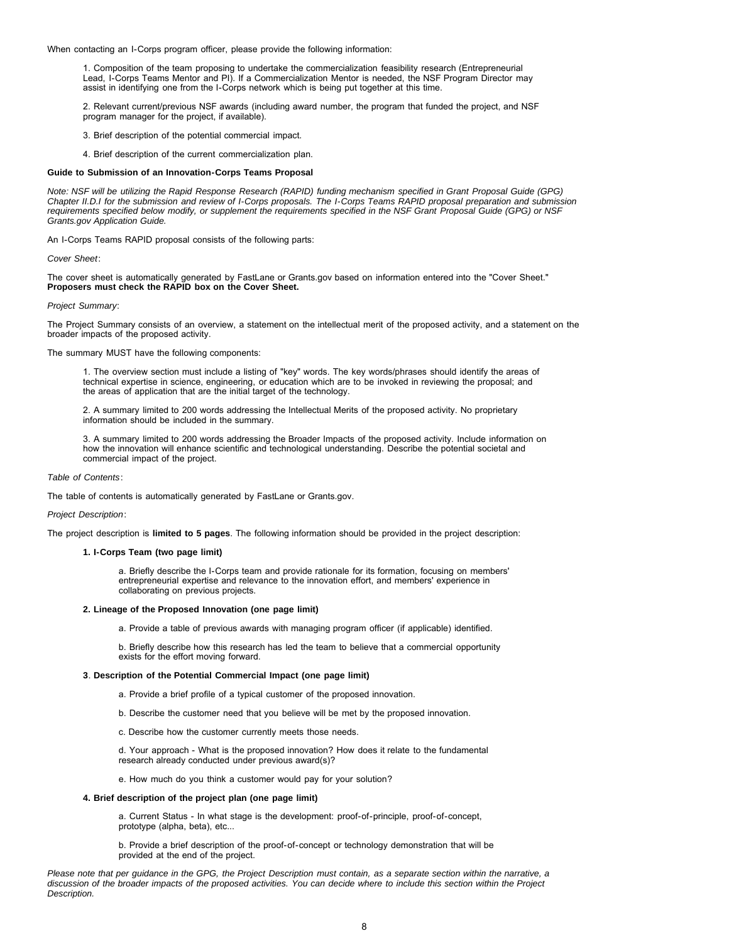When contacting an I-Corps program officer, please provide the following information:

1. Composition of the team proposing to undertake the commercialization feasibility research (Entrepreneurial Lead, I-Corps Teams Mentor and PI). If a Commercialization Mentor is needed, the NSF Program Director may assist in identifying one from the I-Corps network which is being put together at this time.

2. Relevant current/previous NSF awards (including award number, the program that funded the project, and NSF program manager for the project, if available).

- 3. Brief description of the potential commercial impact.
- 4. Brief description of the current commercialization plan.

#### **Guide to Submission of an Innovation-Corps Teams Proposal**

*Note: NSF will be utilizing the Rapid Response Research (RAPID) funding mechanism specified in Grant Proposal Guide (GPG) Chapter II.D.I for the submission and review of I-Corps proposals. The I-Corps Teams RAPID proposal preparation and submission requirements specified below modify, or supplement the requirements specified in the NSF Grant Proposal Guide (GPG) or NSF Grants.gov Application Guide.*

An I-Corps Teams RAPID proposal consists of the following parts:

*Cover Sheet*:

The cover sheet is automatically generated by FastLane or Grants.gov based on information entered into the "Cover Sheet." **Proposers must check the RAPID box on the Cover Sheet.**

#### *Project Summary*:

The Project Summary consists of an overview, a statement on the intellectual merit of the proposed activity, and a statement on the broader impacts of the proposed activity.

The summary MUST have the following components:

1. The overview section must include a listing of "key" words. The key words/phrases should identify the areas of technical expertise in science, engineering, or education which are to be invoked in reviewing the proposal; and the areas of application that are the initial target of the technology.

2. A summary limited to 200 words addressing the Intellectual Merits of the proposed activity. No proprietary information should be included in the summary.

3. A summary limited to 200 words addressing the Broader Impacts of the proposed activity. Include information on how the innovation will enhance scientific and technological understanding. Describe the potential societal and commercial impact of the project.

#### *Table of Contents*:

The table of contents is automatically generated by FastLane or Grants.gov.

#### *Project Description*:

The project description is **limited to 5 pages**. The following information should be provided in the project description:

#### **1. I-Corps Team (two page limit)**

a. Briefly describe the I-Corps team and provide rationale for its formation, focusing on members' entrepreneurial expertise and relevance to the innovation effort, and members' experience in collaborating on previous projects.

#### **2. Lineage of the Proposed Innovation (one page limit)**

a. Provide a table of previous awards with managing program officer (if applicable) identified.

b. Briefly describe how this research has led the team to believe that a commercial opportunity exists for the effort moving forward.

#### **3**. **Description of the Potential Commercial Impact (one page limit)**

- a. Provide a brief profile of a typical customer of the proposed innovation.
- b. Describe the customer need that you believe will be met by the proposed innovation.
- c. Describe how the customer currently meets those needs.

d. Your approach - What is the proposed innovation? How does it relate to the fundamental research already conducted under previous award(s)?

e. How much do you think a customer would pay for your solution?

#### **4. Brief description of the project plan (one page limit)**

a. Current Status - In what stage is the development: proof-of-principle, proof-of-concept, prototype (alpha, beta), etc...

b. Provide a brief description of the proof-of-concept or technology demonstration that will be provided at the end of the project.

*Please note that per guidance in the GPG, the Project Description must contain, as a separate section within the narrative, a discussion of the broader impacts of the proposed activities. You can decide where to include this section within the Project Description.*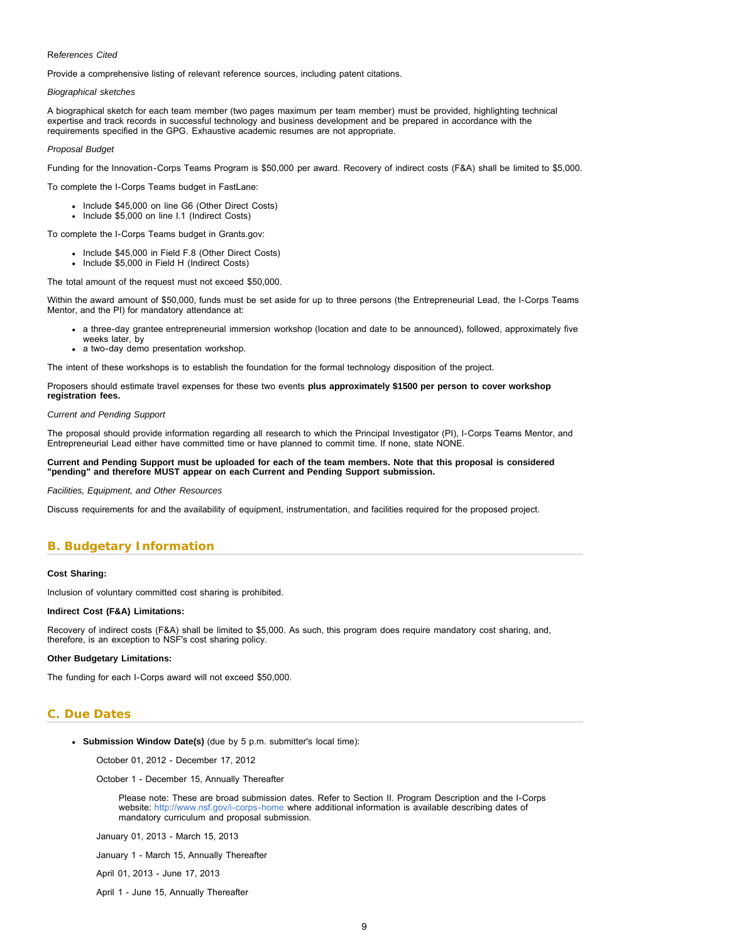#### <span id="page-8-1"></span>Re*ferences Cited*

Provide a comprehensive listing of relevant reference sources, including patent citations.

#### *Biographical sketches*

A biographical sketch for each team member (two pages maximum per team member) must be provided, highlighting technical expertise and track records in successful technology and business development and be prepared in accordance with the requirements specified in the GPG. Exhaustive academic resumes are not appropriate.

#### *Proposal Budget*

Funding for the Innovation-Corps Teams Program is \$50,000 per award. Recovery of indirect costs (F&A) shall be limited to \$5,000.

To complete the I-Corps Teams budget in FastLane:

- Include \$45,000 on line G6 (Other Direct Costs)
- Include \$5,000 on line I.1 (Indirect Costs)

To complete the I-Corps Teams budget in Grants.gov:

- Include \$45,000 in Field F.8 (Other Direct Costs)
- Include \$5,000 in Field H (Indirect Costs)

The total amount of the request must not exceed \$50,000.

Within the award amount of \$50,000, funds must be set aside for up to three persons (the Entrepreneurial Lead, the I-Corps Teams Mentor, and the PI) for mandatory attendance at:

- a three-day grantee entrepreneurial immersion workshop (location and date to be announced), followed, approximately five weeks later, by
- a two-day demo presentation workshop.

The intent of these workshops is to establish the foundation for the formal technology disposition of the project.

Proposers should estimate travel expenses for these two events **plus approximately \$1500 per person to cover workshop registration fees.**

#### *Current and Pending Support*

The proposal should provide information regarding all research to which the Principal Investigator (PI), I-Corps Teams Mentor, and Entrepreneurial Lead either have committed time or have planned to commit time. If none, state NONE.

#### **Current and Pending Support must be uploaded for each of the team members. Note that this proposal is considered "pending" and therefore MUST appear on each Current and Pending Support submission.**

*Facilities, Equipment, and Other Resources*

Discuss requirements for and the availability of equipment, instrumentation, and facilities required for the proposed project.

# <span id="page-8-0"></span>**B. Budgetary Information**

#### **Cost Sharing:**

Inclusion of voluntary committed cost sharing is prohibited.

#### **Indirect Cost (F&A) Limitations:**

Recovery of indirect costs (F&A) shall be limited to \$5,000. As such, this program does require mandatory cost sharing, and, therefore, is an exception to NSF's cost sharing policy.

#### **Other Budgetary Limitations:**

The funding for each I-Corps award will not exceed \$50,000.

# **C. Due Dates**

**Submission Window Date(s)** (due by 5 p.m. submitter's local time):

October 01, 2012 - December 17, 2012

October 1 - December 15, Annually Thereafter

Please note: These are broad submission dates. Refer to Section II. Program Description and the I-Corps website: <http://www.nsf.gov/i-corps-home>where additional information is available describing dates of mandatory curriculum and proposal submission.

January 01, 2013 - March 15, 2013

January 1 - March 15, Annually Thereafter

April 01, 2013 - June 17, 2013

April 1 - June 15, Annually Thereafter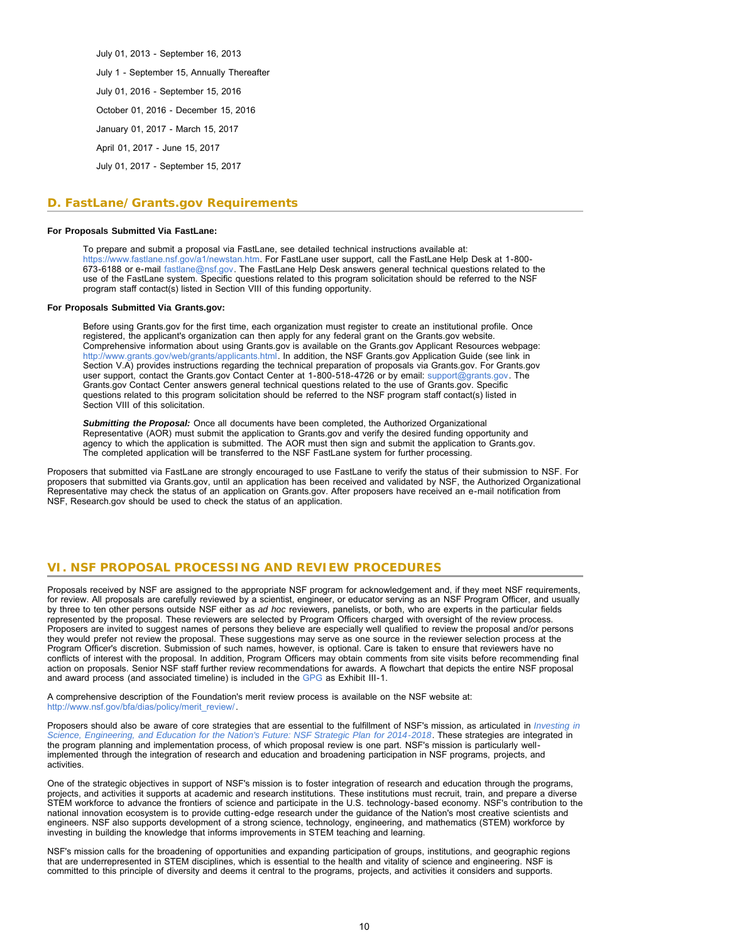July 01, 2013 - September 16, 2013 July 1 - September 15, Annually Thereafter July 01, 2016 - September 15, 2016 October 01, 2016 - December 15, 2016 January 01, 2017 - March 15, 2017 April 01, 2017 - June 15, 2017 July 01, 2017 - September 15, 2017

# <span id="page-9-0"></span>**D. FastLane/Grants.gov Requirements**

#### **For Proposals Submitted Via FastLane:**

To prepare and submit a proposal via FastLane, see detailed technical instructions available at: [https://www.fastlane.nsf.gov/a1/newstan.htm.](https://www.fastlane.nsf.gov/a1/newstan.htm) For FastLane user support, call the FastLane Help Desk at 1-800- 673-6188 or e-mail [fastlane@nsf.gov.](mailto:fastlane@nsf.gov) The FastLane Help Desk answers general technical questions related to the use of the FastLane system. Specific questions related to this program solicitation should be referred to the NSF program staff contact(s) listed in Section VIII of this funding opportunity.

#### **For Proposals Submitted Via Grants.gov:**

Before using Grants.gov for the first time, each organization must register to create an institutional profile. Once registered, the applicant's organization can then apply for any federal grant on the Grants.gov website. Comprehensive information about using Grants.gov is available on the Grants.gov Applicant Resources webpage: [http://www.grants.gov/web/grants/applicants.html.](http://www.grants.gov/web/grants/applicants.html) In addition, the NSF Grants.gov Application Guide (see link in Section V.A) provides instructions regarding the technical preparation of proposals via Grants.gov. For Grants.gov user support, contact the Grants.gov Contact Center at 1-800-518-4726 or by email: [support@grants.gov](mailto:support@grants.gov). The Grants.gov Contact Center answers general technical questions related to the use of Grants.gov. Specific questions related to this program solicitation should be referred to the NSF program staff contact(s) listed in Section VIII of this solicitation.

*Submitting the Proposal:* Once all documents have been completed, the Authorized Organizational Representative (AOR) must submit the application to Grants.gov and verify the desired funding opportunity and agency to which the application is submitted. The AOR must then sign and submit the application to Grants.gov. The completed application will be transferred to the NSF FastLane system for further processing.

Proposers that submitted via FastLane are strongly encouraged to use FastLane to verify the status of their submission to NSF. For proposers that submitted via Grants.gov, until an application has been received and validated by NSF, the Authorized Organizational Representative may check the status of an application on Grants.gov. After proposers have received an e-mail notification from NSF, Research.gov should be used to check the status of an application.

# <span id="page-9-1"></span>**VI. NSF PROPOSAL PROCESSING AND REVIEW PROCEDURES**

Proposals received by NSF are assigned to the appropriate NSF program for acknowledgement and, if they meet NSF requirements, for review. All proposals are carefully reviewed by a scientist, engineer, or educator serving as an NSF Program Officer, and usually by three to ten other persons outside NSF either as *ad hoc* reviewers, panelists, or both, who are experts in the particular fields represented by the proposal. These reviewers are selected by Program Officers charged with oversight of the review process. Proposers are invited to suggest names of persons they believe are especially well qualified to review the proposal and/or persons they would prefer not review the proposal. These suggestions may serve as one source in the reviewer selection process at the Program Officer's discretion. Submission of such names, however, is optional. Care is taken to ensure that reviewers have no conflicts of interest with the proposal. In addition, Program Officers may obtain comments from site visits before recommending final action on proposals. Senior NSF staff further review recommendations for awards. A flowchart that depicts the entire NSF proposal and award process (and associated timeline) is included in the [GPG](http://www.nsf.gov/publications/pub_summ.jsp?ods_key=gpg) as Exhibit III-1.

A comprehensive description of the Foundation's merit review process is available on the NSF website at: [http://www.nsf.gov/bfa/dias/policy/merit\\_review/](http://www.nsf.gov/bfa/dias/policy/merit_review/).

Proposers should also be aware of core strategies that are essential to the fulfillment of NSF's mission, as articulated in *[Investing in](http://www.nsf.gov/publications/pub_summ.jsp?ods_key=nsf14043) [Science, Engineering, and Education for the Nation's Future: NSF Strategic Plan for 2014-2018](http://www.nsf.gov/publications/pub_summ.jsp?ods_key=nsf14043)*. These strategies are integrated in the program planning and implementation process, of which proposal review is one part. NSF's mission is particularly wellimplemented through the integration of research and education and broadening participation in NSF programs, projects, and activities.

One of the strategic objectives in support of NSF's mission is to foster integration of research and education through the programs, projects, and activities it supports at academic and research institutions. These institutions must recruit, train, and prepare a diverse STEM workforce to advance the frontiers of science and participate in the U.S. technology-based economy. NSF's contribution to the national innovation ecosystem is to provide cutting-edge research under the guidance of the Nation's most creative scientists and engineers. NSF also supports development of a strong science, technology, engineering, and mathematics (STEM) workforce by investing in building the knowledge that informs improvements in STEM teaching and learning.

<span id="page-9-2"></span>NSF's mission calls for the broadening of opportunities and expanding participation of groups, institutions, and geographic regions that are underrepresented in STEM disciplines, which is essential to the health and vitality of science and engineering. NSF is committed to this principle of diversity and deems it central to the programs, projects, and activities it considers and supports.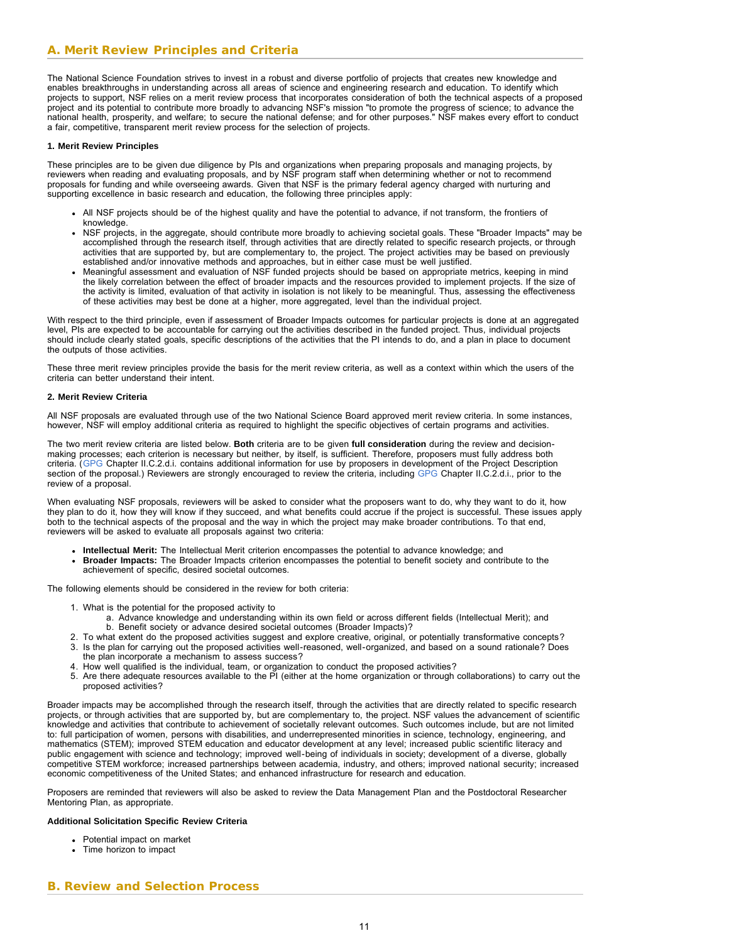# **A. Merit Review Principles and Criteria**

The National Science Foundation strives to invest in a robust and diverse portfolio of projects that creates new knowledge and enables breakthroughs in understanding across all areas of science and engineering research and education. To identify which projects to support, NSF relies on a merit review process that incorporates consideration of both the technical aspects of a proposed project and its potential to contribute more broadly to advancing NSF's mission "to promote the progress of science; to advance the national health, prosperity, and welfare; to secure the national defense; and for other purposes." NSF makes every effort to conduct a fair, competitive, transparent merit review process for the selection of projects.

#### **1. Merit Review Principles**

These principles are to be given due diligence by PIs and organizations when preparing proposals and managing projects, by reviewers when reading and evaluating proposals, and by NSF program staff when determining whether or not to recommend proposals for funding and while overseeing awards. Given that NSF is the primary federal agency charged with nurturing and supporting excellence in basic research and education, the following three principles apply:

- All NSF projects should be of the highest quality and have the potential to advance, if not transform, the frontiers of knowledge.
- NSF projects, in the aggregate, should contribute more broadly to achieving societal goals. These "Broader Impacts" may be accomplished through the research itself, through activities that are directly related to specific research projects, or through activities that are supported by, but are complementary to, the project. The project activities may be based on previously established and/or innovative methods and approaches, but in either case must be well justified.
- Meaningful assessment and evaluation of NSF funded projects should be based on appropriate metrics, keeping in mind the likely correlation between the effect of broader impacts and the resources provided to implement projects. If the size of the activity is limited, evaluation of that activity in isolation is not likely to be meaningful. Thus, assessing the effectiveness of these activities may best be done at a higher, more aggregated, level than the individual project.

With respect to the third principle, even if assessment of Broader Impacts outcomes for particular projects is done at an aggregated level, PIs are expected to be accountable for carrying out the activities described in the funded project. Thus, individual projects should include clearly stated goals, specific descriptions of the activities that the PI intends to do, and a plan in place to document the outputs of those activities.

These three merit review principles provide the basis for the merit review criteria, as well as a context within which the users of the criteria can better understand their intent.

#### **2. Merit Review Criteria**

All NSF proposals are evaluated through use of the two National Science Board approved merit review criteria. In some instances, however, NSF will employ additional criteria as required to highlight the specific objectives of certain programs and activities.

The two merit review criteria are listed below. **Both** criteria are to be given **full consideration** during the review and decisionmaking processes; each criterion is necessary but neither, by itself, is sufficient. Therefore, proposers must fully address both criteria. ([GPG](http://www.nsf.gov/publications/pub_summ.jsp?ods_key=gpg) Chapter II.C.2.d.i. contains additional information for use by proposers in development of the Project Description section of the proposal.) Reviewers are strongly encouraged to review the criteria, including [GPG](http://www.nsf.gov/publications/pub_summ.jsp?ods_key=gpg) Chapter II.C.2.d.i., prior to the review of a proposal.

When evaluating NSF proposals, reviewers will be asked to consider what the proposers want to do, why they want to do it, how they plan to do it, how they will know if they succeed, and what benefits could accrue if the project is successful. These issues apply both to the technical aspects of the proposal and the way in which the project may make broader contributions. To that end, reviewers will be asked to evaluate all proposals against two criteria:

- **Intellectual Merit:** The Intellectual Merit criterion encompasses the potential to advance knowledge; and
- **Broader Impacts:** The Broader Impacts criterion encompasses the potential to benefit society and contribute to the achievement of specific, desired societal outcomes.

The following elements should be considered in the review for both criteria:

- 1. What is the potential for the proposed activity to
	- a. Advance knowledge and understanding within its own field or across different fields (Intellectual Merit); and b. Benefit society or advance desired societal outcomes (Broader Impacts)?
- 2. To what extent do the proposed activities suggest and explore creative, original, or potentially transformative concepts?
- 3. Is the plan for carrying out the proposed activities well-reasoned, well-organized, and based on a sound rationale? Does the plan incorporate a mechanism to assess success?
- 4. How well qualified is the individual, team, or organization to conduct the proposed activities?
- 5. Are there adequate resources available to the PI (either at the home organization or through collaborations) to carry out the proposed activities?

Broader impacts may be accomplished through the research itself, through the activities that are directly related to specific research projects, or through activities that are supported by, but are complementary to, the project. NSF values the advancement of scientific knowledge and activities that contribute to achievement of societally relevant outcomes. Such outcomes include, but are not limited to: full participation of women, persons with disabilities, and underrepresented minorities in science, technology, engineering, and mathematics (STEM); improved STEM education and educator development at any level; increased public scientific literacy and public engagement with science and technology; improved well-being of individuals in society; development of a diverse, globally competitive STEM workforce; increased partnerships between academia, industry, and others; improved national security; increased economic competitiveness of the United States; and enhanced infrastructure for research and education.

Proposers are reminded that reviewers will also be asked to review the Data Management Plan and the Postdoctoral Researcher Mentoring Plan, as appropriate.

### <span id="page-10-0"></span>**Additional Solicitation Specific Review Criteria**

- Potential impact on market
- Time horizon to impact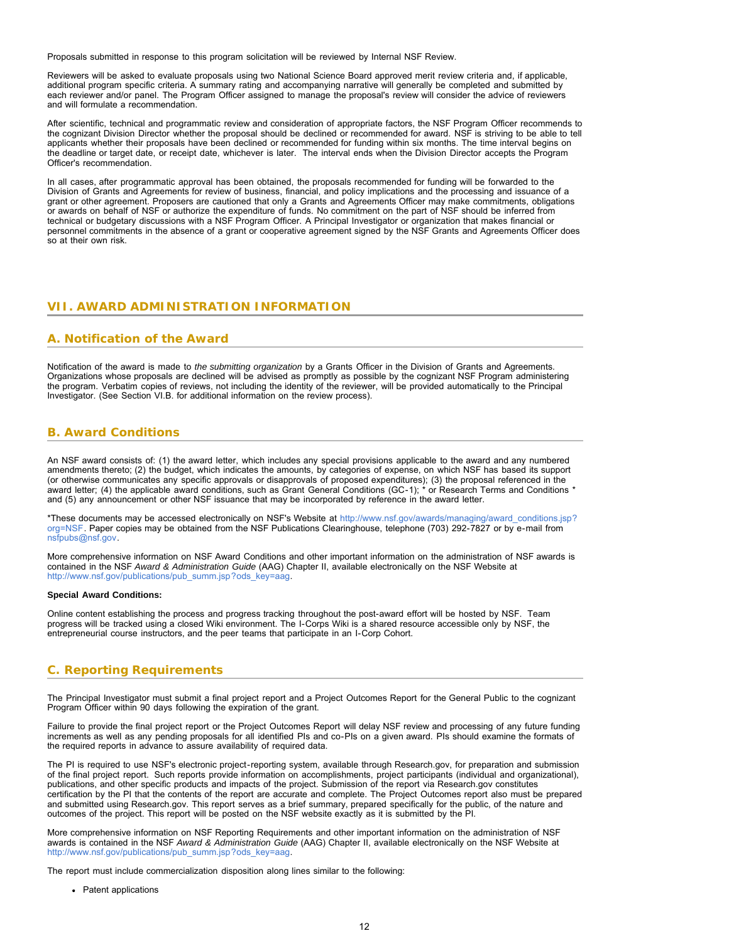Proposals submitted in response to this program solicitation will be reviewed by Internal NSF Review.

Reviewers will be asked to evaluate proposals using two National Science Board approved merit review criteria and, if applicable, additional program specific criteria. A summary rating and accompanying narrative will generally be completed and submitted by each reviewer and/or panel. The Program Officer assigned to manage the proposal's review will consider the advice of reviewers and will formulate a recommendation.

After scientific, technical and programmatic review and consideration of appropriate factors, the NSF Program Officer recommends to the cognizant Division Director whether the proposal should be declined or recommended for award. NSF is striving to be able to tell applicants whether their proposals have been declined or recommended for funding within six months. The time interval begins on the deadline or target date, or receipt date, whichever is later. The interval ends when the Division Director accepts the Program Officer's recommendation.

In all cases, after programmatic approval has been obtained, the proposals recommended for funding will be forwarded to the Division of Grants and Agreements for review of business, financial, and policy implications and the processing and issuance of a grant or other agreement. Proposers are cautioned that only a Grants and Agreements Officer may make commitments, obligations or awards on behalf of NSF or authorize the expenditure of funds. No commitment on the part of NSF should be inferred from technical or budgetary discussions with a NSF Program Officer. A Principal Investigator or organization that makes financial or personnel commitments in the absence of a grant or cooperative agreement signed by the NSF Grants and Agreements Officer does so at their own risk.

#### <span id="page-11-1"></span><span id="page-11-0"></span>**VII. AWARD ADMINISTRATION INFORMATION**

### **A. Notification of the Award**

Notification of the award is made to *the submitting organization* by a Grants Officer in the Division of Grants and Agreements. Organizations whose proposals are declined will be advised as promptly as possible by the cognizant NSF Program administering the program. Verbatim copies of reviews, not including the identity of the reviewer, will be provided automatically to the Principal Investigator. (See Section VI.B. for additional information on the review process).

# <span id="page-11-2"></span>**B. Award Conditions**

An NSF award consists of: (1) the award letter, which includes any special provisions applicable to the award and any numbered amendments thereto; (2) the budget, which indicates the amounts, by categories of expense, on which NSF has based its support (or otherwise communicates any specific approvals or disapprovals of proposed expenditures); (3) the proposal referenced in the award letter; (4) the applicable award conditions, such as Grant General Conditions (GC-1); \* or Research Terms and Conditions \* and (5) any announcement or other NSF issuance that may be incorporated by reference in the award letter.

\*These documents may be accessed electronically on NSF's Website at [http://www.nsf.gov/awards/managing/award\\_conditions.jsp?](http://www.nsf.gov/awards/managing/award_conditions.jsp?org=NSF) [org=NSF.](http://www.nsf.gov/awards/managing/award_conditions.jsp?org=NSF) Paper copies may be obtained from the NSF Publications Clearinghouse, telephone (703) 292-7827 or by e-mail from [nsfpubs@nsf.gov.](mailto:nsfpubs@nsf.gov)

More comprehensive information on NSF Award Conditions and other important information on the administration of NSF awards is contained in the NSF *Award & Administration Guide* (AAG) Chapter II, available electronically on the NSF Website at [http://www.nsf.gov/publications/pub\\_summ.jsp?ods\\_key=aag.](http://www.nsf.gov/publications/pub_summ.jsp?ods_key=aag)

#### **Special Award Conditions:**

Online content establishing the process and progress tracking throughout the post-award effort will be hosted by NSF. Team progress will be tracked using a closed Wiki environment. The I-Corps Wiki is a shared resource accessible only by NSF, the entrepreneurial course instructors, and the peer teams that participate in an I-Corp Cohort.

# <span id="page-11-3"></span>**C. Reporting Requirements**

The Principal Investigator must submit a final project report and a Project Outcomes Report for the General Public to the cognizant Program Officer within 90 days following the expiration of the grant.

Failure to provide the final project report or the Project Outcomes Report will delay NSF review and processing of any future funding increments as well as any pending proposals for all identified PIs and co-PIs on a given award. PIs should examine the formats of the required reports in advance to assure availability of required data.

The PI is required to use NSF's electronic project-reporting system, available through Research.gov, for preparation and submission of the final project report. Such reports provide information on accomplishments, project participants (individual and organizational), publications, and other specific products and impacts of the project. Submission of the report via Research.gov constitutes certification by the PI that the contents of the report are accurate and complete. The Project Outcomes report also must be prepared and submitted using Research.gov. This report serves as a brief summary, prepared specifically for the public, of the nature and outcomes of the project. This report will be posted on the NSF website exactly as it is submitted by the PI.

More comprehensive information on NSF Reporting Requirements and other important information on the administration of NSF awards is contained in the NSF *Award & Administration Guide* (AAG) Chapter II, available electronically on the NSF Website at [http://www.nsf.gov/publications/pub\\_summ.jsp?ods\\_key=aag.](http://www.nsf.gov/publications/pub_summ.jsp?ods_key=aag)

The report must include commercialization disposition along lines similar to the following:

• Patent applications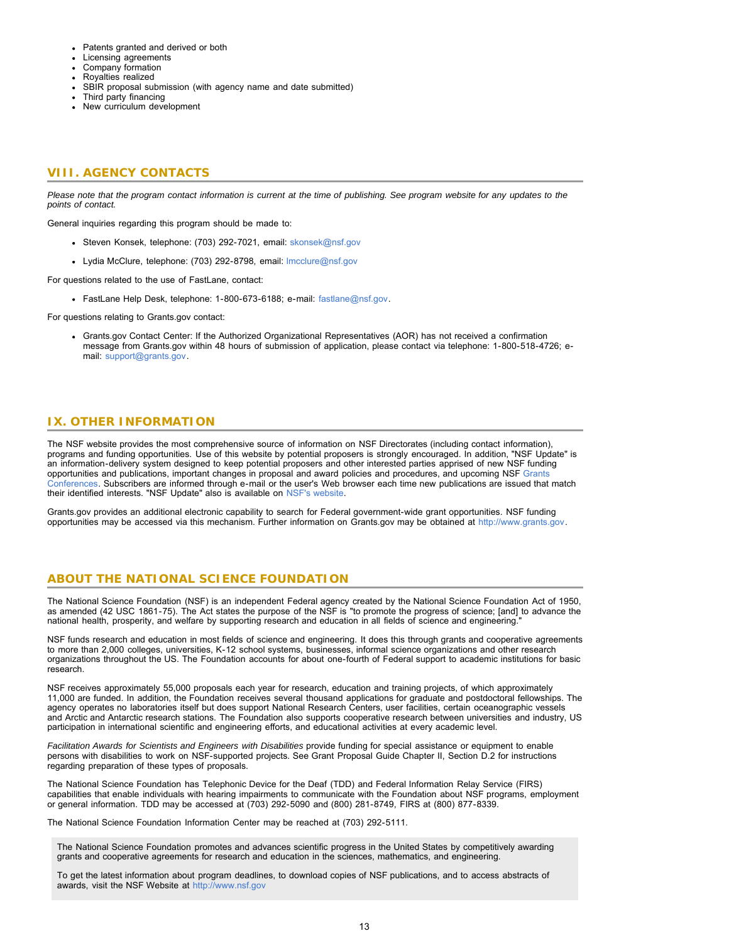- Patents granted and derived or both
- Licensing agreements
- Company formation
- Royalties realized
- SBIR proposal submission (with agency name and date submitted)
- Third party financing
- New curriculum development

# <span id="page-12-0"></span>**VIII. AGENCY CONTACTS**

*Please note that the program contact information is current at the time of publishing. See program website for any updates to the points of contact.*

General inquiries regarding this program should be made to:

- Steven Konsek, telephone: (703) 292-7021, email: [skonsek@nsf.gov](mailto:skonsek@nsf.gov)
- Lydia McClure, telephone: (703) 292-8798, email: [lmcclure@nsf.gov](mailto:lmcclure@nsf.gov)

For questions related to the use of FastLane, contact:

FastLane Help Desk, telephone: 1-800-673-6188; e-mail: [fastlane@nsf.gov.](mailto:fastlane@nsf.gov)

For questions relating to Grants.gov contact:

Grants.gov Contact Center: If the Authorized Organizational Representatives (AOR) has not received a confirmation message from Grants.gov within 48 hours of submission of application, please contact via telephone: 1-800-518-4726; email: [support@grants.gov.](mailto:support@grants.gov)

# <span id="page-12-1"></span>**IX. OTHER INFORMATION**

The NSF website provides the most comprehensive source of information on NSF Directorates (including contact information), programs and funding opportunities. Use of this website by potential proposers is strongly encouraged. In addition, "NSF Update" is an information-delivery system designed to keep potential proposers and other interested parties apprised of new NSF funding opportunities and publications, important changes in proposal and award policies and procedures, and upcoming NSF [Grants](http://www.nsf.gov/bfa/dias/policy/outreach.jsp) [Conferences.](http://www.nsf.gov/bfa/dias/policy/outreach.jsp) Subscribers are informed through e-mail or the user's Web browser each time new publications are issued that match their identified interests. "NSF Update" also is available on [NSF's website.](http://www.nsf.gov/cgi-bin/good-bye?https://public.govdelivery.com/accounts/USNSF/subscriber/new?topic_id=USNSF_179)

Grants.gov provides an additional electronic capability to search for Federal government-wide grant opportunities. NSF funding opportunities may be accessed via this mechanism. Further information on Grants.gov may be obtained at [http://www.grants.gov.](http://www.grants.gov/)

# **ABOUT THE NATIONAL SCIENCE FOUNDATION**

The National Science Foundation (NSF) is an independent Federal agency created by the National Science Foundation Act of 1950, as amended (42 USC 1861-75). The Act states the purpose of the NSF is "to promote the progress of science; [and] to advance the national health, prosperity, and welfare by supporting research and education in all fields of science and engineering."

NSF funds research and education in most fields of science and engineering. It does this through grants and cooperative agreements to more than 2,000 colleges, universities, K-12 school systems, businesses, informal science organizations and other research organizations throughout the US. The Foundation accounts for about one-fourth of Federal support to academic institutions for basic research.

NSF receives approximately 55,000 proposals each year for research, education and training projects, of which approximately 11,000 are funded. In addition, the Foundation receives several thousand applications for graduate and postdoctoral fellowships. The agency operates no laboratories itself but does support National Research Centers, user facilities, certain oceanographic vessels and Arctic and Antarctic research stations. The Foundation also supports cooperative research between universities and industry, US participation in international scientific and engineering efforts, and educational activities at every academic level.

*Facilitation Awards for Scientists and Engineers with Disabilities* provide funding for special assistance or equipment to enable persons with disabilities to work on NSF-supported projects. See Grant Proposal Guide Chapter II, Section D.2 for instructions regarding preparation of these types of proposals.

The National Science Foundation has Telephonic Device for the Deaf (TDD) and Federal Information Relay Service (FIRS) capabilities that enable individuals with hearing impairments to communicate with the Foundation about NSF programs, employment or general information. TDD may be accessed at (703) 292-5090 and (800) 281-8749, FIRS at (800) 877-8339.

The National Science Foundation Information Center may be reached at (703) 292-5111.

The National Science Foundation promotes and advances scientific progress in the United States by competitively awarding grants and cooperative agreements for research and education in the sciences, mathematics, and engineering.

To get the latest information about program deadlines, to download copies of NSF publications, and to access abstracts of awards, visit the NSF Website at [http://www.nsf.gov](http://www.nsf.gov/)